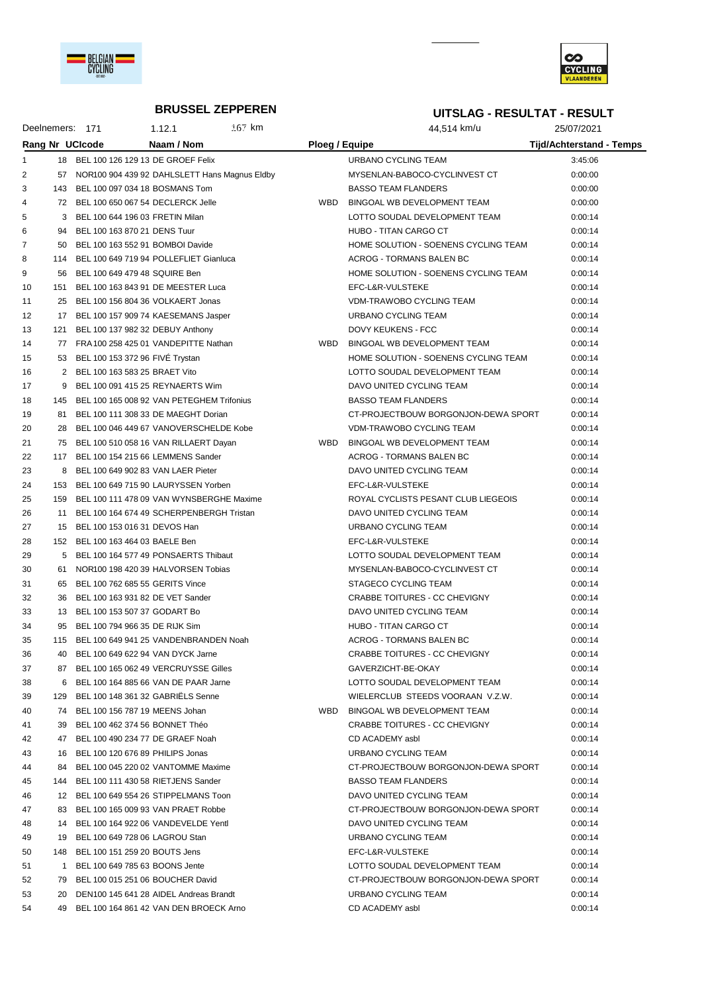



#### **BRUSSEL ZEPPEREN**

# **UITSLAG - RESULTAT - RESULT**

| Deelnemers: 171 |     |                                   | 1.12.1                                        | $167$ km |                | 44.514 km/u                          | 25/07/2021                      |  |
|-----------------|-----|-----------------------------------|-----------------------------------------------|----------|----------------|--------------------------------------|---------------------------------|--|
|                 |     | Rang Nr UCIcode                   | Naam / Nom                                    |          | Ploeg / Equipe |                                      | <b>Tijd/Achterstand - Temps</b> |  |
|                 | 18  |                                   | BEL 100 126 129 13 DE GROEF Felix             |          |                | URBANO CYCLING TEAM                  | 3:45:06                         |  |
| 2               | 57  |                                   | NOR100 904 439 92 DAHLSLETT Hans Magnus Eldby |          |                | MYSENLAN-BABOCO-CYCLINVEST CT        | 0:00:00                         |  |
| 3               | 143 | BEL 100 097 034 18 BOSMANS Tom    |                                               |          |                | <b>BASSO TEAM FLANDERS</b>           | 0:00:00                         |  |
| 4               |     |                                   | 72 BEL 100 650 067 54 DECLERCK Jelle          |          | WBD            | BINGOAL WB DEVELOPMENT TEAM          | 0:00:00                         |  |
| 5               |     | 3 BEL 100 644 196 03 FRETIN Milan |                                               |          |                | LOTTO SOUDAL DEVELOPMENT TEAM        | 0:00:14                         |  |
| 6               | 94  | BEL 100 163 870 21 DENS Tuur      |                                               |          |                | HUBO - TITAN CARGO CT                | 0:00:14                         |  |
| $\overline{7}$  | 50. | BEL 100 163 552 91 BOMBOI Davide  |                                               |          |                | HOME SOLUTION - SOENENS CYCLING TEAM | 0:00:14                         |  |
| 8               | 114 |                                   | BEL 100 649 719 94 POLLEFLIET Gianluca        |          |                | ACROG - TORMANS BALEN BC             | 0:00:14                         |  |
| 9               | 56  | BEL 100 649 479 48 SQUIRE Ben     |                                               |          |                | HOME SOLUTION - SOENENS CYCLING TEAM | 0:00:14                         |  |
| 10              | 151 |                                   | BEL 100 163 843 91 DE MEESTER Luca            |          |                | EFC-L&R-VULSTEKE                     | 0:00:14                         |  |
| 11              | 25  |                                   | BEL 100 156 804 36 VOLKAERT Jonas             |          |                | VDM-TRAWOBO CYCLING TEAM             | 0:00:14                         |  |
| 12              | 17  |                                   | BEL 100 157 909 74 KAESEMANS Jasper           |          |                | URBANO CYCLING TEAM                  | 0:00:14                         |  |
|                 |     |                                   |                                               |          |                |                                      |                                 |  |

| 5  | З            | BEL 100 644 196 03 FRETIN Milan               | LOTTO SOUDAL DEVELOPMENT TEAM        | 0:00:14 |
|----|--------------|-----------------------------------------------|--------------------------------------|---------|
| 6  |              | 94 BEL 100 163 870 21 DENS Tuur               | HUBO - TITAN CARGO CT                | 0:00:14 |
| 7  |              | 50 BEL 100 163 552 91 BOMBOI Davide           | HOME SOLUTION - SOENENS CYCLING TEAM | 0:00:14 |
| 8  |              | 114 BEL 100 649 719 94 POLLEFLIET Gianluca    | ACROG - TORMANS BALEN BC             | 0:00:14 |
| 9  |              | 56 BEL 100 649 479 48 SQUIRE Ben              | HOME SOLUTION - SOENENS CYCLING TEAM | 0:00:14 |
| 10 |              | 151 BEL 100 163 843 91 DE MEESTER Luca        | EFC-L&R-VULSTEKE                     | 0:00:14 |
| 11 |              | 25 BEL 100 156 804 36 VOLKAERT Jonas          | VDM-TRAWOBO CYCLING TEAM             | 0:00:14 |
| 12 |              | 17 BEL 100 157 909 74 KAESEMANS Jasper        | URBANO CYCLING TEAM                  | 0:00:14 |
| 13 |              | 121 BEL 100 137 982 32 DEBUY Anthony          | DOVY KEUKENS - FCC                   | 0:00:14 |
| 14 |              | 77 FRA 100 258 425 01 VANDEPITTE Nathan       | WBD BINGOAL WB DEVELOPMENT TEAM      | 0:00:14 |
| 15 |              | 53 BEL 100 153 372 96 FIVE Trystan            | HOME SOLUTION - SOENENS CYCLING TEAM | 0:00:14 |
| 16 |              | 2 BEL 100 163 583 25 BRAET Vito               | LOTTO SOUDAL DEVELOPMENT TEAM        | 0:00:14 |
| 17 |              | 9 BEL 100 091 415 25 REYNAERTS Wim            | DAVO UNITED CYCLING TEAM             | 0:00:14 |
| 18 |              | 145 BEL 100 165 008 92 VAN PETEGHEM Trifonius | <b>BASSO TEAM FLANDERS</b>           | 0:00:14 |
| 19 |              | 81 BEL 100 111 308 33 DE MAEGHT Dorian        | CT-PROJECTBOUW BORGONJON-DEWA SPORT  | 0:00:14 |
| 20 |              | 28 BEL 100 046 449 67 VANOVERSCHELDE Kobe     | <b>VDM-TRAWOBO CYCLING TEAM</b>      | 0:00:14 |
| 21 |              | 75 BEL 100 510 058 16 VAN RILLAERT Dayan      | WBD BINGOAL WB DEVELOPMENT TEAM      | 0:00:14 |
| 22 |              | 117 BEL 100 154 215 66 LEMMENS Sander         | <b>ACROG - TORMANS BALEN BC</b>      | 0:00:14 |
| 23 |              | 8 BEL 100 649 902 83 VAN LAER Pieter          | DAVO UNITED CYCLING TEAM             | 0:00:14 |
| 24 |              | 153 BEL 100 649 715 90 LAURYSSEN Yorben       | EFC-L&R-VULSTEKE                     | 0:00:14 |
| 25 |              | 159 BEL 100 111 478 09 VAN WYNSBERGHE Maxime  | ROYAL CYCLISTS PESANT CLUB LIEGEOIS  | 0:00:14 |
| 26 |              | 11 BEL 100 164 674 49 SCHERPENBERGH Tristan   | DAVO UNITED CYCLING TEAM             | 0:00:14 |
| 27 |              | 15 BEL 100 153 016 31 DEVOS Han               | URBANO CYCLING TEAM                  | 0:00:14 |
| 28 |              | 152 BEL 100 163 464 03 BAELE Ben              | EFC-L&R-VULSTEKE                     | 0:00:14 |
| 29 |              | 5 BEL 100 164 577 49 PONSAERTS Thibaut        | LOTTO SOUDAL DEVELOPMENT TEAM        | 0:00:14 |
| 30 |              | 61 NOR100 198 420 39 HALVORSEN Tobias         | MYSENLAN-BABOCO-CYCLINVEST CT        | 0:00:14 |
| 31 |              | 65 BEL 100 762 685 55 GERITS Vince            | STAGECO CYCLING TEAM                 | 0:00:14 |
| 32 |              | 36 BEL 100 163 931 82 DE VET Sander           | CRABBE TOITURES - CC CHEVIGNY        | 0:00:14 |
| 33 |              | 13 BEL 100 153 507 37 GODART Bo               | DAVO UNITED CYCLING TEAM             | 0:00:14 |
| 34 | 95           | BEL 100 794 966 35 DE RIJK Sim                | HUBO - TITAN CARGO CT                | 0:00:14 |
| 35 |              | 115 BEL 100 649 941 25 VANDENBRANDEN Noah     | ACROG - TORMANS BALEN BC             | 0:00:14 |
| 36 |              | 40 BEL 100 649 622 94 VAN DYCK Jarne          | CRABBE TOITURES - CC CHEVIGNY        | 0:00:14 |
| 37 |              | 87 BEL 100 165 062 49 VERCRUYSSE Gilles       | GAVERZICHT-BE-OKAY                   | 0:00:14 |
| 38 |              | 6 BEL 100 164 885 66 VAN DE PAAR Jarne        | LOTTO SOUDAL DEVELOPMENT TEAM        | 0:00:14 |
| 39 |              | 129 BEL 100 148 361 32 GABRIELS Senne         | WIELERCLUB STEEDS VOORAAN V.Z.W.     | 0:00:14 |
| 40 |              | 74 BEL 100 156 787 19 MEENS Johan             | WBD BINGOAL WB DEVELOPMENT TEAM      | 0:00:14 |
| 41 | 39           | BEL 100 462 374 56 BONNET Théo                | CRABBE TOITURES - CC CHEVIGNY        | 0:00:14 |
| 42 |              | 47 BEL 100 490 234 77 DE GRAEF Noah           | CD ACADEMY asbl                      | 0:00:14 |
| 43 | 16           | BEL 100 120 676 89 PHILIPS Jonas              | URBANO CYCLING TEAM                  | 0:00:14 |
| 44 | 84           | BEL 100 045 220 02 VANTOMME Maxime            | CT-PROJECTBOUW BORGONJON-DEWA SPORT  | 0:00:14 |
| 45 |              | 144 BEL 100 111 430 58 RIETJENS Sander        | <b>BASSO TEAM FLANDERS</b>           | 0:00:14 |
| 46 |              | 12 BEL 100 649 554 26 STIPPELMANS Toon        | DAVO UNITED CYCLING TEAM             | 0:00:14 |
| 47 | 83           | BEL 100 165 009 93 VAN PRAET Robbe            | CT-PROJECTBOUW BORGONJON-DEWA SPORT  | 0:00:14 |
| 48 |              | 14 BEL 100 164 922 06 VANDEVELDE Yentl        | DAVO UNITED CYCLING TEAM             | 0:00:14 |
| 49 | 19           | BEL 100 649 728 06 LAGROU Stan                | URBANO CYCLING TEAM                  | 0:00:14 |
| 50 |              | 148 BEL 100 151 259 20 BOUTS Jens             | EFC-L&R-VULSTEKE                     | 0:00:14 |
| 51 | $\mathbf{1}$ | BEL 100 649 785 63 BOONS Jente                | LOTTO SOUDAL DEVELOPMENT TEAM        | 0:00:14 |
| 52 | 79           | BEL 100 015 251 06 BOUCHER David              | CT-PROJECTBOUW BORGONJON-DEWA SPORT  | 0:00:14 |
| 53 |              | 20 DEN100 145 641 28 AIDEL Andreas Brandt     | URBANO CYCLING TEAM                  | 0:00:14 |
| 54 |              | 49 BEL 100 164 861 42 VAN DEN BROECK Arno     | CD ACADEMY asbl                      | 0:00:14 |
|    |              |                                               |                                      |         |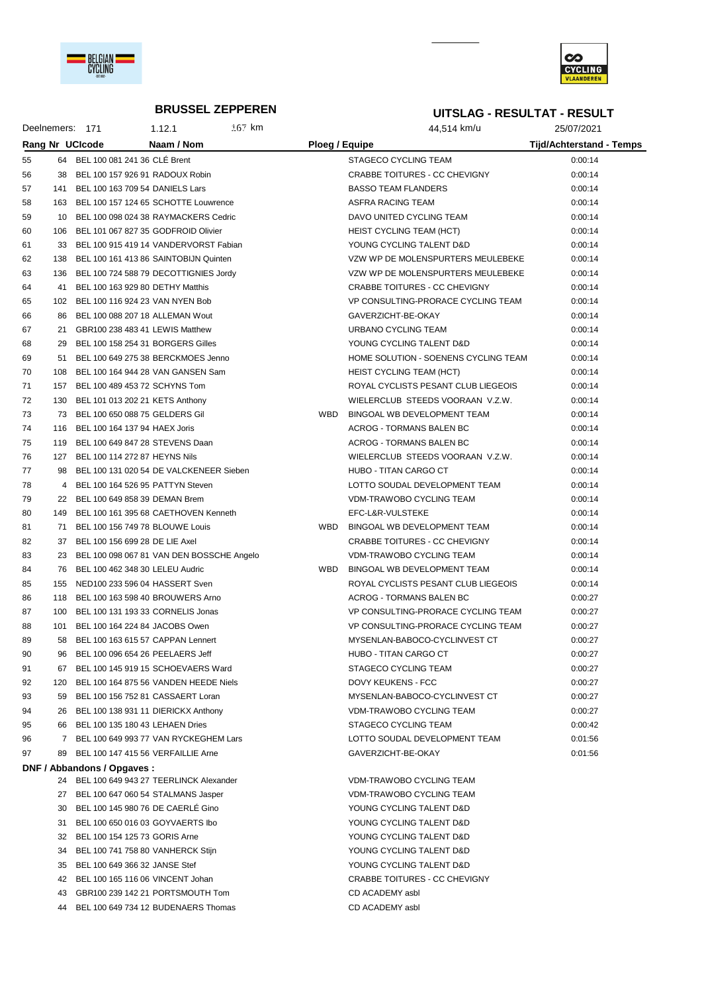

**DNF / Abbandons / Opgaves :**



#### **BRUSSEL ZEPPEREN**

#### **UITSLAG - RESULTAT - RESULT**

Deelnemers: 171 1.12.1 167 km 167 km 44,514 km/u 25/07/2021 **Rang Nr UCIcode Naam / Nom Ploeg / Equipe Tijd/Achterstand - Temps** 55 64 BEL 100 081 241 36 CLÉ Brent STAGECO CYCLING TEAM STAGECO CYCLING TEAM 0:00:14 38 BEL 100 157 926 91 RADOUX Robin CRABBE TOITURES - CC CHEVIGNY 0:00:14 57 141 BEL 100 163 709 54 DANIELS Lars BASSO TEAM FLANDERS 0:00:14 58 163 BEL 100 157 124 65 SCHOTTE Louwrence ASFRA RACING TEAM 6:00:14 10 BEL 100 098 024 38 RAYMACKERS Cedric DAVO UNITED CYCLING TEAM 0:00:14 60 106 BEL 101 067 827 35 GODFROID Olivier And American HEIST CYCLING TEAM (HCT) 0:00:14 33 BEL 100 915 419 14 VANDERVORST Fabian YOUNG CYCLING TALENT D&D 0:00:14 138 BEL 100 161 413 86 SAINTOBIJN Quinten VZW WP DE MOLENSPURTERS MEULEBEKE 0:00:14 136 BEL 100 724 588 79 DECOTTIGNIES Jordy VZW WP DE MOLENSPURTERS MEULEBEKE 0:00:14 41 BEL 100 163 929 80 DETHY Matthis CRABBE TOITURES - CC CHEVIGNY 0:00:14 102 BEL 100 116 924 23 VAN NYEN Bob VP CONSULTING-PRORACE CYCLING TEAM 0:00:14 86 BEL 100 088 207 18 ALLEMAN Wout GAVERZICHT-BE-OKAY 0:00:14 21 GBR100 238 483 41 LEWIS Matthew URBANO CYCLING TEAM 0:00:14 29 BEL 100 158 254 31 BORGERS Gilles YOUNG CYCLING TALENT D&D 0:00:14 51 BEL 100 649 275 38 BERCKMOES Jenno HOME SOLUTION - SOENENS CYCLING TEAM 0:00:14 70 108 BEL 100 164 944 28 VAN GANSEN Sam HEIST CYCLING TEAM (HCT) 0:00:14 157 BEL 100 489 453 72 SCHYNS Tom ROYAL CYCLISTS PESANT CLUB LIEGEOIS 0:00:14 130 BEL 101 013 202 21 KETS Anthony WIELERCLUB STEEDS VOORAAN V.Z.W. 0:00:14 73 BEL 100 650 088 75 GELDERS Gil WBD BINGOAL WB DEVELOPMENT TEAM 0:00:14 116 BEL 100 164 137 94 HAEX Joris ACROG - TORMANS BALEN BC 0:00:14 119 BEL 100 649 847 28 STEVENS Daan ACROG - TORMANS BALEN BC 0:00:14 127 BEL 100 114 272 87 HEYNS Nils WIELERCLUB STEEDS VOORAAN V.Z.W. 0:00:14 98 BEL 100 131 020 54 DE VALCKENEER Sieben HUBO - TITAN CARGO CT 0:00:14 4 BEL 100 164 526 95 PATTYN Steven LOTTO SOUDAL DEVELOPMENT TEAM 0:00:14 22 BEL 100 649 858 39 DEMAN Brem VDM-TRAWOBO CYCLING TEAM 0:00:14 149 BEL 100 161 395 68 CAETHOVEN Kenneth EFC-L&R-VULSTEKE 0:00:14 71 BEL 100 156 749 78 BLOUWE Louis WBD BINGOAL WB DEVELOPMENT TEAM 0:00:14 82 37 BEL 100 156 699 28 DE LIE Axel CRABBE TOITURES - CC CHEVIGNY 0:00:14

 23 BEL 100 098 067 81 VAN DEN BOSSCHE Angelo VDM-TRAWOBO CYCLING TEAM 0:00:14 76 BEL 100 462 348 30 LELEU Audric WBD BINGOAL WB DEVELOPMENT TEAM 0:00:14 85 155 NED100 233 596 04 HASSERT Sven RECOMENT STREET ROYAL CYCLISTS PESANT CLUB LIEGEOIS 0:00:14 86 118 BEL 100 163 598 40 BROUWERS Arno ACROG - TORMANS BALEN BC 0:00:27 87 100 BEL 100 131 193 33 CORNELIS Jonas VP CONSULTING-PRORACE CYCLING TEAM 0:00:27 88 101 BEL 100 164 224 84 JACOBS Owen VP CONSULTING-PRORACE CYCLING TEAM 0:00:27 89 58 BEL 100 163 615 57 CAPPAN Lennert CHANGER MYSENLAN-BABOCO-CYCLINVEST CT 0:00:27 90 96 BEL 100 096 654 26 PEELAERS Jeff HUBO - TITAN CARGO CT CHUBO - TITAN CARGO CT 91 67 BEL 100 145 919 15 SCHOEVAERS Ward STAGECO CYCLING TEAM 67 BEL 100:27 92 120 BEL 100 164 875 56 VANDEN HEEDE Niels **DOVY KEUKENS - FCC CONTRACT SECOLE CONTRACT** OCOC27 59 BEL 100 156 752 81 CASSAERT Loran MYSENLAN-BABOCO-CYCLINVEST CT 0:00:27 26 BEL 100 138 931 11 DIERICKX Anthony VDM-TRAWOBO CYCLING TEAM 0:00:27 66 BEL 100 135 180 43 LEHAEN Dries STAGECO CYCLING TEAM 0:00:42 7 BEL 100 649 993 77 VAN RYCKEGHEM Lars LOTTO SOUDAL DEVELOPMENT TEAM 0:01:56 89 BEL 100 147 415 56 VERFAILLIE Arne GAVERZICHT-BE-OKAY 0:01:56

 BEL 100 649 943 27 TEERLINCK Alexander VDM-TRAWOBO CYCLING TEAM 27 BEL 100 647 060 54 STALMANS Jasper VDM-TRAWOBO CYCLING TEAM BEL 100 145 980 76 DE CAERLÉ Gino YOUNG CYCLING TALENT D&D BEL 100 650 016 03 GOYVAERTS Ibo YOUNG CYCLING TALENT D&D BEL 100 154 125 73 GORIS Arne YOUNG CYCLING TALENT D&D 34 BEL 100 741 758 80 VANHERCK Stijn YOUNG CYCLING TALENT D&D BEL 100 649 366 32 JANSE Stef YOUNG CYCLING TALENT D&D BEL 100 165 116 06 VINCENT Johan CRABBE TOITURES - CC CHEVIGNY GBR100 239 142 21 PORTSMOUTH Tom CD ACADEMY asbl BEL 100 649 734 12 BUDENAERS Thomas CD ACADEMY asbl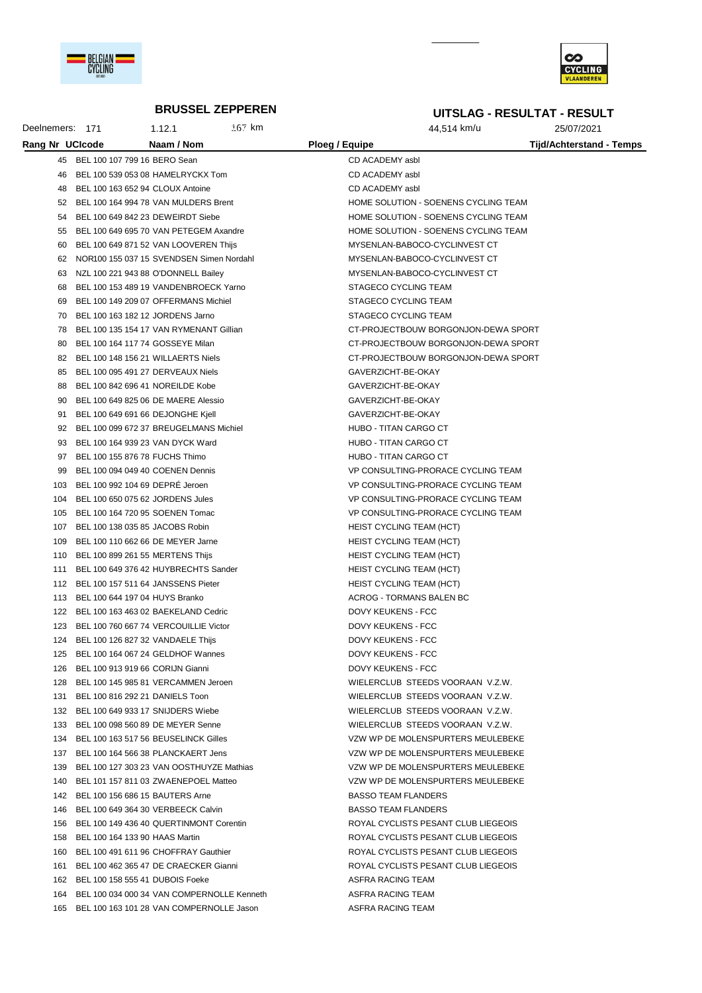

Deelnemers: 171



25/07/2021

# **BRUSSEL ZEPPEREN**

 $1.12.1$ 

167 km

# **UITSLAG - RESULTAT - RESULT**

44,514 km/u

| Rang Nr UCIcode |                                       | Naam / Nom                                     | Ploeg / Equipe |                                      | Tijd/Achterstand - Temps |
|-----------------|---------------------------------------|------------------------------------------------|----------------|--------------------------------------|--------------------------|
|                 | 45 BEL 100 107 799 16 BERO Sean       |                                                |                | CD ACADEMY asbl                      |                          |
| 46              |                                       | BEL 100 539 053 08 HAMELRYCKX Tom              |                | CD ACADEMY asbl                      |                          |
| 48              | BEL 100 163 652 94 CLOUX Antoine      |                                                |                | CD ACADEMY asbl                      |                          |
| 52              |                                       | BEL 100 164 994 78 VAN MULDERS Brent           |                | HOME SOLUTION - SOENENS CYCLING TEAM |                          |
| 54              |                                       | BEL 100 649 842 23 DEWEIRDT Siebe              |                | HOME SOLUTION - SOENENS CYCLING TEAM |                          |
| 55              |                                       | BEL 100 649 695 70 VAN PETEGEM Axandre         |                | HOME SOLUTION - SOENENS CYCLING TEAM |                          |
| 60              |                                       | BEL 100 649 871 52 VAN LOOVEREN Thijs          |                | MYSENLAN-BABOCO-CYCLINVEST CT        |                          |
| 62              |                                       | NOR100 155 037 15 SVENDSEN Simen Nordahl       |                | MYSENLAN-BABOCO-CYCLINVEST CT        |                          |
| 63              |                                       | NZL 100 221 943 88 O'DONNELL Bailey            |                | MYSENLAN-BABOCO-CYCLINVEST CT        |                          |
| 68              |                                       | BEL 100 153 489 19 VANDENBROECK Yarno          |                | STAGECO CYCLING TEAM                 |                          |
| 69              |                                       | BEL 100 149 209 07 OFFERMANS Michiel           |                | STAGECO CYCLING TEAM                 |                          |
|                 | 70 BEL 100 163 182 12 JORDENS Jarno   |                                                |                | STAGECO CYCLING TEAM                 |                          |
| 78              |                                       | BEL 100 135 154 17 VAN RYMENANT Gillian        |                |                                      |                          |
|                 |                                       |                                                |                | CT-PROJECTBOUW BORGONJON-DEWA SPORT  |                          |
| 80              | BEL 100 164 117 74 GOSSEYE Milan      |                                                |                | CT-PROJECTBOUW BORGONJON-DEWA SPORT  |                          |
| 82              |                                       | BEL 100 148 156 21 WILLAERTS Niels             |                | CT-PROJECTBOUW BORGONJON-DEWA SPORT  |                          |
| 85              |                                       | BEL 100 095 491 27 DERVEAUX Niels              |                | GAVERZICHT-BE-OKAY                   |                          |
| 88              |                                       | BEL 100 842 696 41 NOREILDE Kobe               |                | GAVERZICHT-BE-OKAY                   |                          |
| 90              |                                       | BEL 100 649 825 06 DE MAERE Alessio            |                | GAVERZICHT-BE-OKAY                   |                          |
| 91              |                                       | BEL 100 649 691 66 DEJONGHE Kjell              |                | GAVERZICHT-BE-OKAY                   |                          |
| 92              |                                       | BEL 100 099 672 37 BREUGELMANS Michiel         |                | <b>HUBO - TITAN CARGO CT</b>         |                          |
| 93              |                                       | BEL 100 164 939 23 VAN DYCK Ward               |                | <b>HUBO - TITAN CARGO CT</b>         |                          |
| 97              | BEL 100 155 876 78 FUCHS Thimo        |                                                |                | <b>HUBO - TITAN CARGO CT</b>         |                          |
| 99              |                                       | BEL 100 094 049 40 COENEN Dennis               |                | VP CONSULTING-PRORACE CYCLING TEAM   |                          |
|                 | 103 BEL 100 992 104 69 DEPRE Jeroen   |                                                |                | VP CONSULTING-PRORACE CYCLING TEAM   |                          |
|                 | 104 BEL 100 650 075 62 JORDENS Jules  |                                                |                | VP CONSULTING-PRORACE CYCLING TEAM   |                          |
|                 | 105 BEL 100 164 720 95 SOENEN Tomac   |                                                |                | VP CONSULTING-PRORACE CYCLING TEAM   |                          |
|                 | 107 BEL 100 138 035 85 JACOBS Robin   |                                                |                | <b>HEIST CYCLING TEAM (HCT)</b>      |                          |
|                 | 109 BEL 100 110 662 66 DE MEYER Jarne |                                                |                | HEIST CYCLING TEAM (HCT)             |                          |
|                 | 110 BEL 100 899 261 55 MERTENS Thijs  |                                                |                | <b>HEIST CYCLING TEAM (HCT)</b>      |                          |
|                 |                                       | 111 BEL 100 649 376 42 HUYBRECHTS Sander       |                | <b>HEIST CYCLING TEAM (HCT)</b>      |                          |
|                 |                                       | 112 BEL 100 157 511 64 JANSSENS Pieter         |                | HEIST CYCLING TEAM (HCT)             |                          |
|                 | 113 BEL 100 644 197 04 HUYS Branko    |                                                |                | ACROG - TORMANS BALEN BC             |                          |
|                 |                                       | 122 BEL 100 163 463 02 BAEKELAND Cedric        |                | DOVY KEUKENS - FCC                   |                          |
|                 |                                       | 123 BEL 100 760 667 74 VERCOUILLIE Victor      |                | DOVY KEUKENS - FCC                   |                          |
|                 | 124 BEL 100 126 827 32 VANDAELE Thijs |                                                |                | DOVY KEUKENS - FCC                   |                          |
|                 |                                       | 125 BEL 100 164 067 24 GELDHOF Wannes          |                | DOVY KEUKENS - FCC                   |                          |
|                 | 126 BEL 100 913 919 66 CORIJN Gianni  |                                                |                | DOVY KEUKENS - FCC                   |                          |
|                 |                                       | 128 BEL 100 145 985 81 VERCAMMEN Jeroen        |                | WIELERCLUB STEEDS VOORAAN V.Z.W.     |                          |
|                 | 131 BEL 100 816 292 21 DANIELS Toon   |                                                |                | WIELERCLUB STEEDS VOORAAN V.Z.W.     |                          |
|                 |                                       | 132 BEL 100 649 933 17 SNIJDERS Wiebe          |                | WIELERCLUB STEEDS VOORAAN V.Z.W.     |                          |
|                 |                                       | 133 BEL 100 098 560 89 DE MEYER Senne          |                | WIELERCLUB STEEDS VOORAAN V.Z.W.     |                          |
|                 |                                       | 134 BEL 100 163 517 56 BEUSELINCK Gilles       |                | VZW WP DE MOLENSPURTERS MEULEBEKE    |                          |
|                 |                                       | 137 BEL 100 164 566 38 PLANCKAERT Jens         |                | VZW WP DE MOLENSPURTERS MEULEBEKE    |                          |
|                 |                                       | 139 BEL 100 127 303 23 VAN OOSTHUYZE Mathias   |                | VZW WP DE MOLENSPURTERS MEULEBEKE    |                          |
|                 |                                       | 140 BEL 101 157 811 03 ZWAENEPOEL Matteo       |                | VZW WP DE MOLENSPURTERS MEULEBEKE    |                          |
|                 | 142 BEL 100 156 686 15 BAUTERS Arne   |                                                |                | <b>BASSO TEAM FLANDERS</b>           |                          |
|                 |                                       | 146 BEL 100 649 364 30 VERBEECK Calvin         |                | <b>BASSO TEAM FLANDERS</b>           |                          |
|                 |                                       | 156 BEL 100 149 436 40 QUERTINMONT Corentin    |                | ROYAL CYCLISTS PESANT CLUB LIEGEOIS  |                          |
| 158             | BEL 100 164 133 90 HAAS Martin        |                                                |                | ROYAL CYCLISTS PESANT CLUB LIEGEOIS  |                          |
|                 |                                       | 160 BEL 100 491 611 96 CHOFFRAY Gauthier       |                | ROYAL CYCLISTS PESANT CLUB LIEGEOIS  |                          |
| 161             |                                       | BEL 100 462 365 47 DE CRAECKER Gianni          |                | ROYAL CYCLISTS PESANT CLUB LIEGEOIS  |                          |
|                 | 162 BEL 100 158 555 41 DUBOIS Foeke   |                                                |                | ASFRA RACING TEAM                    |                          |
|                 |                                       | 164 BEL 100 034 000 34 VAN COMPERNOLLE Kenneth |                | ASFRA RACING TEAM                    |                          |
|                 |                                       | 165 BEL 100 163 101 28 VAN COMPERNOLLE Jason   |                | ASFRA RACING TEAM                    |                          |